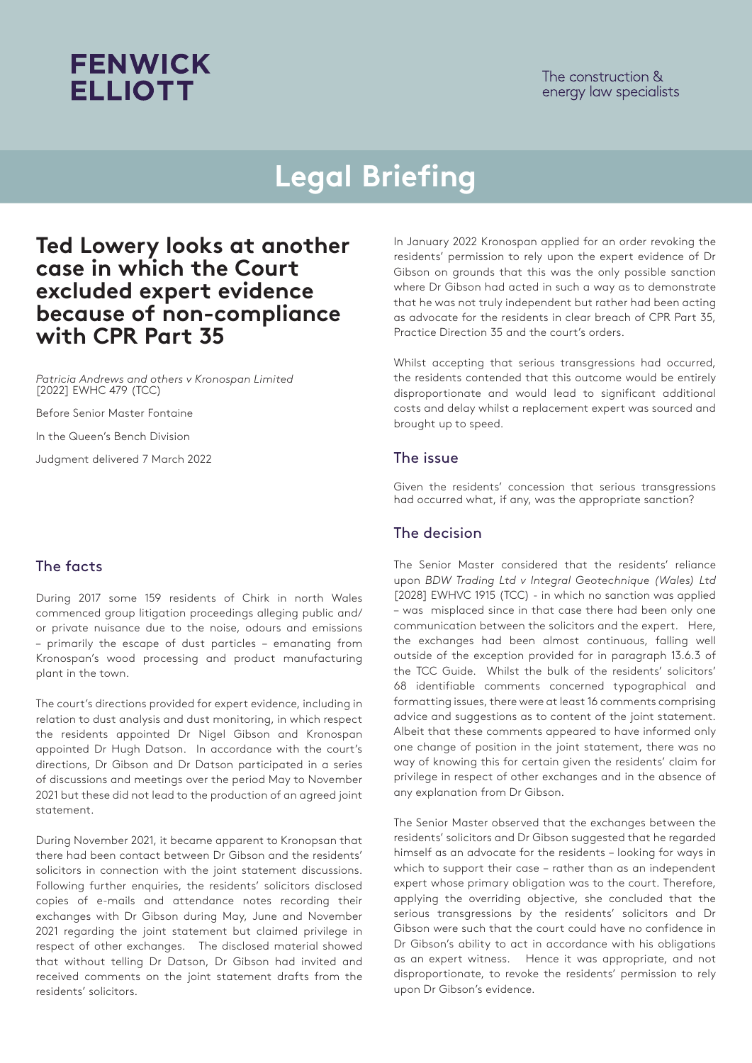The construction & energy law specialists

## **Legal Briefing**

### **Ted Lowery looks at another case in which the Court excluded expert evidence because of non-compliance with CPR Part 35**

*Patricia Andrews and others v Kronospan Limited*  [2022] EWHC 479 (TCC)

**FENWICK** 

**ELLIOTT** 

Before Senior Master Fontaine

In the Queen's Bench Division

Judgment delivered 7 March 2022

#### The facts

During 2017 some 159 residents of Chirk in north Wales commenced group litigation proceedings alleging public and/ or private nuisance due to the noise, odours and emissions – primarily the escape of dust particles – emanating from Kronospan's wood processing and product manufacturing plant in the town.

The court's directions provided for expert evidence, including in relation to dust analysis and dust monitoring, in which respect the residents appointed Dr Nigel Gibson and Kronospan appointed Dr Hugh Datson. In accordance with the court's directions, Dr Gibson and Dr Datson participated in a series of discussions and meetings over the period May to November 2021 but these did not lead to the production of an agreed joint statement.

During November 2021, it became apparent to Kronopsan that there had been contact between Dr Gibson and the residents' solicitors in connection with the joint statement discussions. Following further enquiries, the residents' solicitors disclosed copies of e-mails and attendance notes recording their exchanges with Dr Gibson during May, June and November 2021 regarding the joint statement but claimed privilege in respect of other exchanges. The disclosed material showed that without telling Dr Datson, Dr Gibson had invited and received comments on the joint statement drafts from the residents' solicitors.

In January 2022 Kronospan applied for an order revoking the residents' permission to rely upon the expert evidence of Dr Gibson on grounds that this was the only possible sanction where Dr Gibson had acted in such a way as to demonstrate that he was not truly independent but rather had been acting as advocate for the residents in clear breach of CPR Part 35, Practice Direction 35 and the court's orders.

Whilst accepting that serious transgressions had occurred, the residents contended that this outcome would be entirely disproportionate and would lead to significant additional costs and delay whilst a replacement expert was sourced and brought up to speed.

#### The issue

Given the residents' concession that serious transgressions had occurred what, if any, was the appropriate sanction?

#### The decision

The Senior Master considered that the residents' reliance upon *BDW Trading Ltd v Integral Geotechnique (Wales) Ltd* [2028] EWHVC 1915 (TCC) - in which no sanction was applied – was misplaced since in that case there had been only one communication between the solicitors and the expert. Here, the exchanges had been almost continuous, falling well outside of the exception provided for in paragraph 13.6.3 of the TCC Guide. Whilst the bulk of the residents' solicitors' 68 identifiable comments concerned typographical and formatting issues, there were at least 16 comments comprising advice and suggestions as to content of the joint statement. Albeit that these comments appeared to have informed only one change of position in the joint statement, there was no way of knowing this for certain given the residents' claim for privilege in respect of other exchanges and in the absence of any explanation from Dr Gibson.

The Senior Master observed that the exchanges between the residents' solicitors and Dr Gibson suggested that he regarded himself as an advocate for the residents – looking for ways in which to support their case – rather than as an independent expert whose primary obligation was to the court. Therefore, applying the overriding objective, she concluded that the serious transgressions by the residents' solicitors and Dr Gibson were such that the court could have no confidence in Dr Gibson's ability to act in accordance with his obligations as an expert witness. Hence it was appropriate, and not disproportionate, to revoke the residents' permission to rely upon Dr Gibson's evidence.